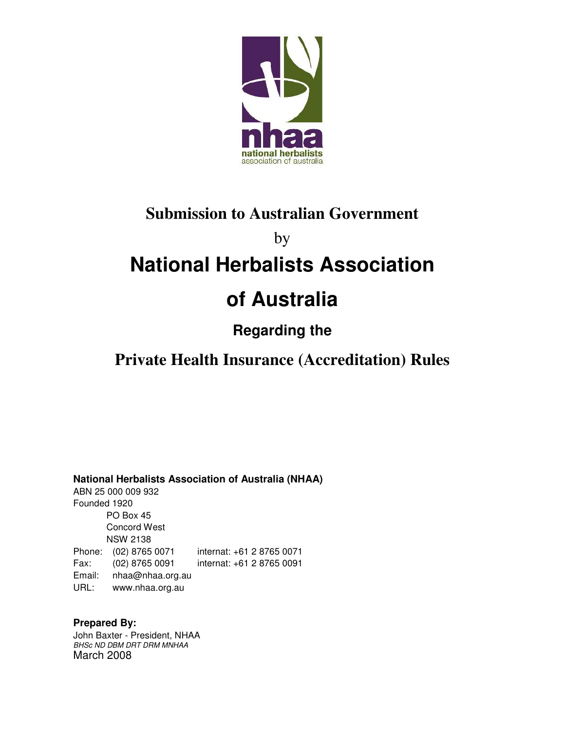

## **Submission to Australian Government**

by

# **National Herbalists Association**

# **of Australia**

### **Regarding the**

## **Private Health Insurance (Accreditation) Rules**

**National Herbalists Association of Australia (NHAA)**

ABN 25 000 009 932 Founded 1920 PO Box 45 Concord West NSW 2138 Phone: (02) 8765 0071 internat: +61 2 8765 0071 Fax: (02) 8765 0091 internat: +61 2 8765 0091 Email: nhaa@nhaa.org.au URL: www.nhaa.org.au

**Prepared By:**  John Baxter - President, NHAA BHSc ND DBM DRT DRM MNHAA March 2008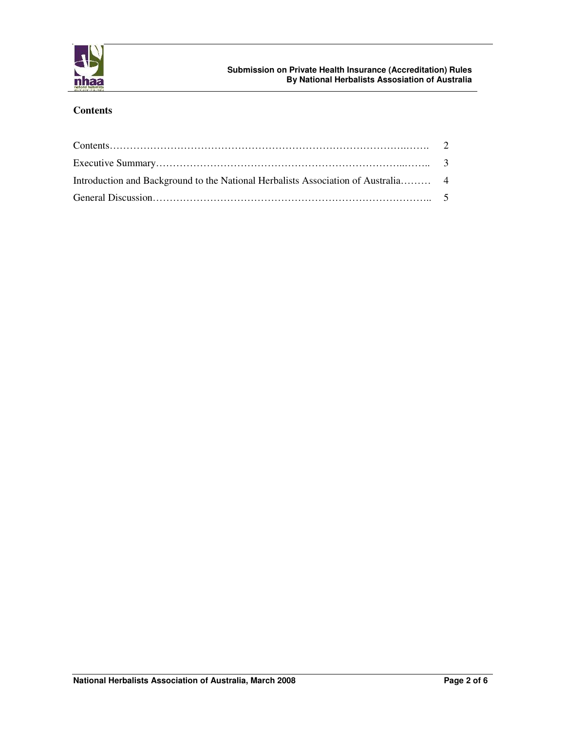

#### **Contents**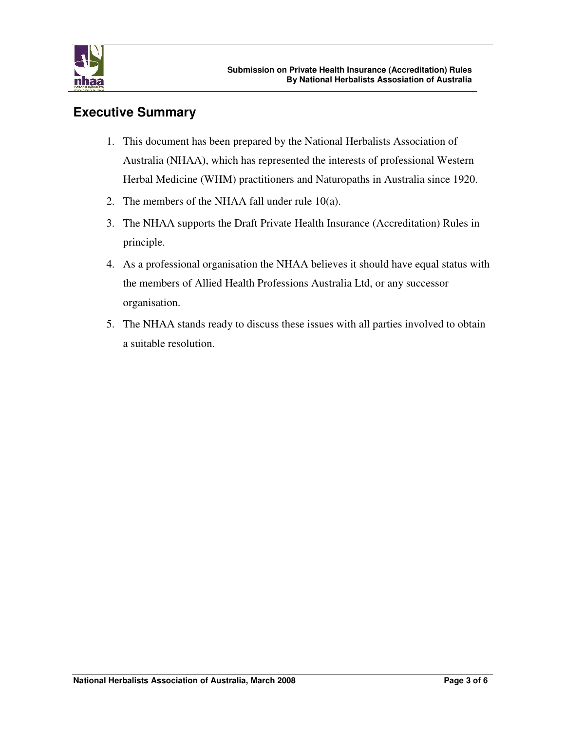

#### **Executive Summary**

- 1. This document has been prepared by the National Herbalists Association of Australia (NHAA), which has represented the interests of professional Western Herbal Medicine (WHM) practitioners and Naturopaths in Australia since 1920.
- 2. The members of the NHAA fall under rule 10(a).
- 3. The NHAA supports the Draft Private Health Insurance (Accreditation) Rules in principle.
- 4. As a professional organisation the NHAA believes it should have equal status with the members of Allied Health Professions Australia Ltd, or any successor organisation.
- 5. The NHAA stands ready to discuss these issues with all parties involved to obtain a suitable resolution.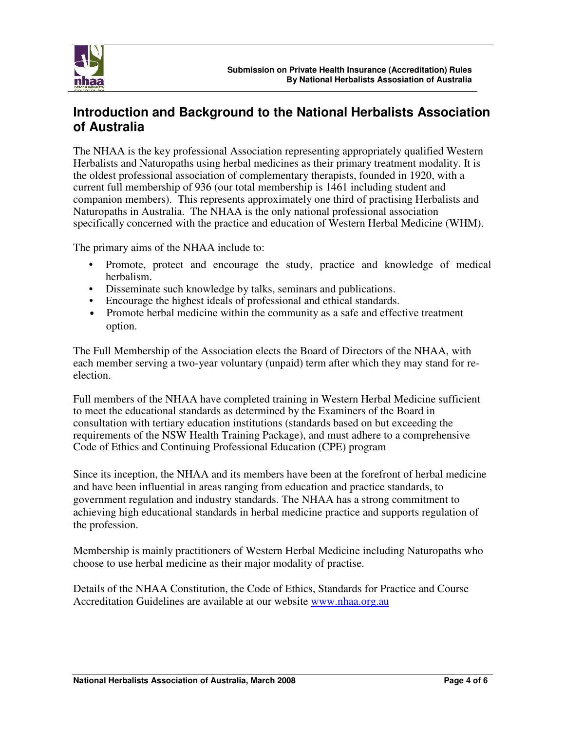

### **Introduction and Background to the National Herbalists Association of Australia**

The NHAA is the key professional Association representing appropriately qualified Western Herbalists and Naturopaths using herbal medicines as their primary treatment modality. It is the oldest professional association of complementary therapists, founded in 1920, with a current full membership of 936 (our total membership is 1461 including student and companion members). This represents approximately one third of practising Herbalists and Naturopaths in Australia. The NHAA is the only national professional association specifically concerned with the practice and education of Western Herbal Medicine (WHM).

The primary aims of the NHAA include to:

- Promote, protect and encourage the study, practice and knowledge of medical herbalism.
- Disseminate such knowledge by talks, seminars and publications.
- Encourage the highest ideals of professional and ethical standards.
- Promote herbal medicine within the community as a safe and effective treatment option.

The Full Membership of the Association elects the Board of Directors of the NHAA, with each member serving a two-year voluntary (unpaid) term after which they may stand for reelection.

Full members of the NHAA have completed training in Western Herbal Medicine sufficient to meet the educational standards as determined by the Examiners of the Board in consultation with tertiary education institutions (standards based on but exceeding the requirements of the NSW Health Training Package), and must adhere to a comprehensive Code of Ethics and Continuing Professional Education (CPE) program

Since its inception, the NHAA and its members have been at the forefront of herbal medicine and have been influential in areas ranging from education and practice standards, to government regulation and industry standards. The NHAA has a strong commitment to achieving high educational standards in herbal medicine practice and supports regulation of the profession.

Membership is mainly practitioners of Western Herbal Medicine including Naturopaths who choose to use herbal medicine as their major modality of practise.

Details of the NHAA Constitution, the Code of Ethics, Standards for Practice and Course Accreditation Guidelines are available at our website www.nhaa.org.au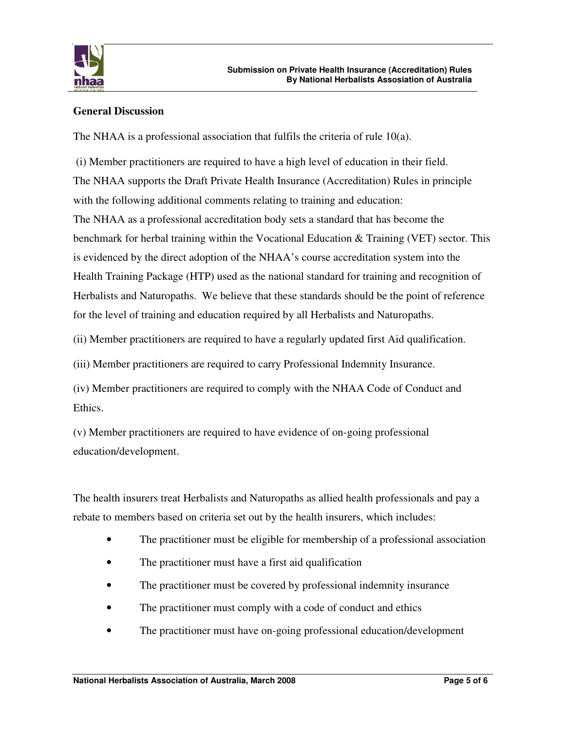

#### **General Discussion**

The NHAA is a professional association that fulfils the criteria of rule 10(a).

 (i) Member practitioners are required to have a high level of education in their field. The NHAA supports the Draft Private Health Insurance (Accreditation) Rules in principle with the following additional comments relating to training and education: The NHAA as a professional accreditation body sets a standard that has become the benchmark for herbal training within the Vocational Education & Training (VET) sector. This is evidenced by the direct adoption of the NHAA's course accreditation system into the Health Training Package (HTP) used as the national standard for training and recognition of Herbalists and Naturopaths. We believe that these standards should be the point of reference for the level of training and education required by all Herbalists and Naturopaths.

(ii) Member practitioners are required to have a regularly updated first Aid qualification.

(iii) Member practitioners are required to carry Professional Indemnity Insurance.

(iv) Member practitioners are required to comply with the NHAA Code of Conduct and Ethics.

(v) Member practitioners are required to have evidence of on-going professional education/development.

The health insurers treat Herbalists and Naturopaths as allied health professionals and pay a rebate to members based on criteria set out by the health insurers, which includes:

- The practitioner must be eligible for membership of a professional association
- The practitioner must have a first aid qualification
- The practitioner must be covered by professional indemnity insurance
- The practitioner must comply with a code of conduct and ethics
- The practitioner must have on-going professional education/development